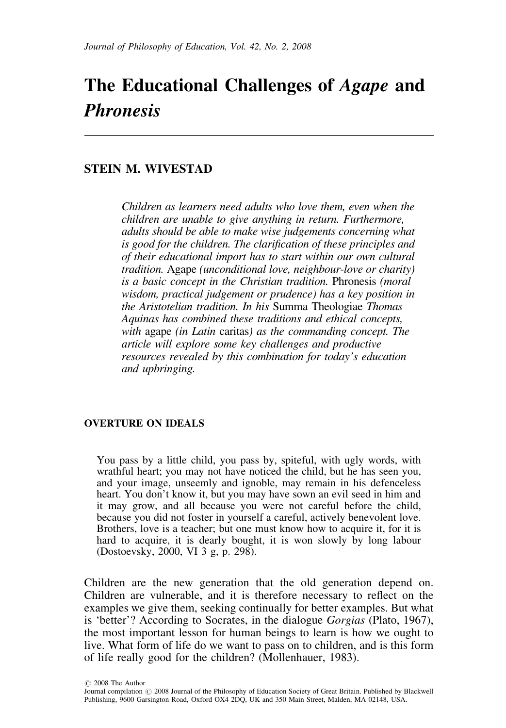# The Educational Challenges of Agape and Phronesis

# STEIN M. WIVESTAD

Children as learners need adults who love them, even when the children are unable to give anything in return. Furthermore, adults should be able to make wise judgements concerning what is good for the children. The clarification of these principles and of their educational import has to start within our own cultural tradition. Agape (unconditional love, neighbour-love or charity) is a basic concept in the Christian tradition. Phronesis (moral wisdom, practical judgement or prudence) has a key position in the Aristotelian tradition. In his Summa Theologiae Thomas Aquinas has combined these traditions and ethical concepts, with agape (in Latin caritas) as the commanding concept. The article will explore some key challenges and productive resources revealed by this combination for today's education and upbringing.

# OVERTURE ON IDEALS

You pass by a little child, you pass by, spiteful, with ugly words, with wrathful heart; you may not have noticed the child, but he has seen you, and your image, unseemly and ignoble, may remain in his defenceless heart. You don't know it, but you may have sown an evil seed in him and it may grow, and all because you were not careful before the child, because you did not foster in yourself a careful, actively benevolent love. Brothers, love is a teacher; but one must know how to acquire it, for it is hard to acquire, it is dearly bought, it is won slowly by long labour (Dostoevsky, 2000, VI 3 g, p. 298).

Children are the new generation that the old generation depend on. Children are vulnerable, and it is therefore necessary to reflect on the examples we give them, seeking continually for better examples. But what is 'better'? According to Socrates, in the dialogue Gorgias (Plato, 1967), the most important lesson for human beings to learn is how we ought to live. What form of life do we want to pass on to children, and is this form of life really good for the children? (Mollenhauer, 1983).

 $\odot$  2008 The Author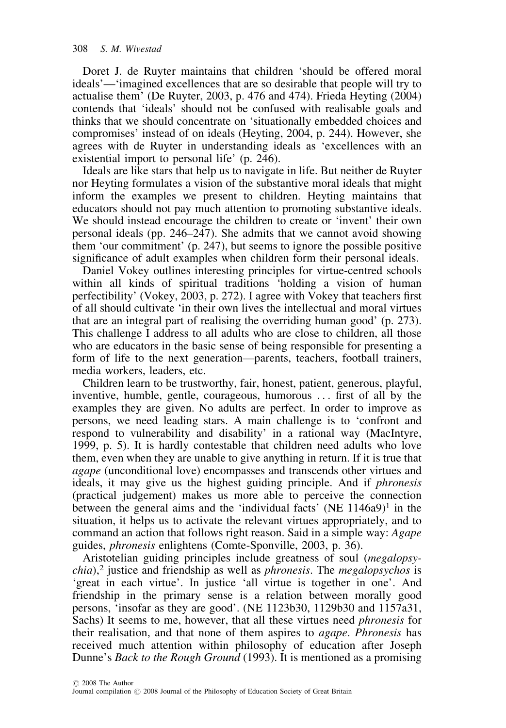Doret J. de Ruyter maintains that children 'should be offered moral ideals'—'imagined excellences that are so desirable that people will try to actualise them' (De Ruyter, 2003, p. 476 and 474). Frieda Heyting (2004) contends that 'ideals' should not be confused with realisable goals and thinks that we should concentrate on 'situationally embedded choices and compromises' instead of on ideals (Heyting, 2004, p. 244). However, she agrees with de Ruyter in understanding ideals as 'excellences with an existential import to personal life' (p. 246).

Ideals are like stars that help us to navigate in life. But neither de Ruyter nor Heyting formulates a vision of the substantive moral ideals that might inform the examples we present to children. Heyting maintains that educators should not pay much attention to promoting substantive ideals. We should instead encourage the children to create or 'invent' their own personal ideals (pp. 246–247). She admits that we cannot avoid showing them 'our commitment' (p. 247), but seems to ignore the possible positive significance of adult examples when children form their personal ideals.

Daniel Vokey outlines interesting principles for virtue-centred schools within all kinds of spiritual traditions 'holding a vision of human perfectibility' (Vokey, 2003, p. 272). I agree with Vokey that teachers first of all should cultivate 'in their own lives the intellectual and moral virtues that are an integral part of realising the overriding human good' (p. 273). This challenge I address to all adults who are close to children, all those who are educators in the basic sense of being responsible for presenting a form of life to the next generation—parents, teachers, football trainers, media workers, leaders, etc.

Children learn to be trustworthy, fair, honest, patient, generous, playful, inventive, humble, gentle, courageous, humorous . . . first of all by the examples they are given. No adults are perfect. In order to improve as persons, we need leading stars. A main challenge is to 'confront and respond to vulnerability and disability' in a rational way (MacIntyre, 1999, p. 5). It is hardly contestable that children need adults who love them, even when they are unable to give anything in return. If it is true that agape (unconditional love) encompasses and transcends other virtues and ideals, it may give us the highest guiding principle. And if phronesis (practical judgement) makes us more able to perceive the connection between the general aims and the 'individual facts' (NE  $1146a9$ )<sup>1</sup> in the situation, it helps us to activate the relevant virtues appropriately, and to command an action that follows right reason. Said in a simple way: Agape guides, phronesis enlightens (Comte-Sponville, 2003, p. 36).

Aristotelian guiding principles include greatness of soul (megalopsy $chi<sub>1</sub>$ ),<sup>2</sup> justice and friendship as well as *phronesis*. The *megalopsychos* is 'great in each virtue'. In justice 'all virtue is together in one'. And friendship in the primary sense is a relation between morally good persons, 'insofar as they are good'. (NE 1123b30, 1129b30 and 1157a31, Sachs) It seems to me, however, that all these virtues need phronesis for their realisation, and that none of them aspires to agape. Phronesis has received much attention within philosophy of education after Joseph Dunne's Back to the Rough Ground (1993). It is mentioned as a promising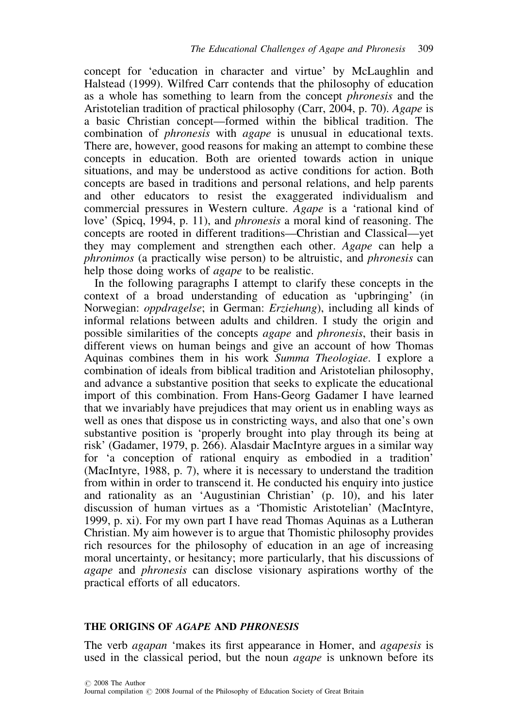concept for 'education in character and virtue' by McLaughlin and Halstead (1999). Wilfred Carr contends that the philosophy of education as a whole has something to learn from the concept phronesis and the Aristotelian tradition of practical philosophy (Carr, 2004, p. 70). Agape is a basic Christian concept—formed within the biblical tradition. The combination of phronesis with agape is unusual in educational texts. There are, however, good reasons for making an attempt to combine these concepts in education. Both are oriented towards action in unique situations, and may be understood as active conditions for action. Both concepts are based in traditions and personal relations, and help parents and other educators to resist the exaggerated individualism and commercial pressures in Western culture. Agape is a 'rational kind of love' (Spicq, 1994, p. 11), and phronesis a moral kind of reasoning. The concepts are rooted in different traditions—Christian and Classical—yet they may complement and strengthen each other. Agape can help a phronimos (a practically wise person) to be altruistic, and phronesis can help those doing works of agape to be realistic.

In the following paragraphs I attempt to clarify these concepts in the context of a broad understanding of education as 'upbringing' (in Norwegian: oppdragelse; in German: Erziehung), including all kinds of informal relations between adults and children. I study the origin and possible similarities of the concepts agape and phronesis, their basis in different views on human beings and give an account of how Thomas Aquinas combines them in his work Summa Theologiae. I explore a combination of ideals from biblical tradition and Aristotelian philosophy, and advance a substantive position that seeks to explicate the educational import of this combination. From Hans-Georg Gadamer I have learned that we invariably have prejudices that may orient us in enabling ways as well as ones that dispose us in constricting ways, and also that one's own substantive position is 'properly brought into play through its being at risk' (Gadamer, 1979, p. 266). Alasdair MacIntyre argues in a similar way for 'a conception of rational enquiry as embodied in a tradition' (MacIntyre, 1988, p. 7), where it is necessary to understand the tradition from within in order to transcend it. He conducted his enquiry into justice and rationality as an 'Augustinian Christian' (p. 10), and his later discussion of human virtues as a 'Thomistic Aristotelian' (MacIntyre, 1999, p. xi). For my own part I have read Thomas Aquinas as a Lutheran Christian. My aim however is to argue that Thomistic philosophy provides rich resources for the philosophy of education in an age of increasing moral uncertainty, or hesitancy; more particularly, that his discussions of agape and *phronesis* can disclose visionary aspirations worthy of the practical efforts of all educators.

# THE ORIGINS OF AGAPE AND PHRONESIS

The verb *agapan* 'makes its first appearance in Homer, and *agapesis* is used in the classical period, but the noun *agape* is unknown before its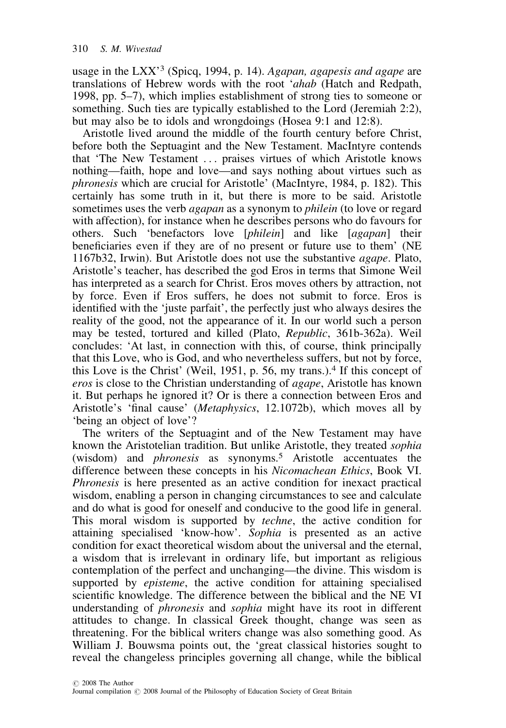usage in the LXX<sup>'3</sup> (Spicq, 1994, p. 14). Agapan, agapesis and agape are translations of Hebrew words with the root 'ahab (Hatch and Redpath, 1998, pp. 5–7), which implies establishment of strong ties to someone or something. Such ties are typically established to the Lord (Jeremiah 2:2), but may also be to idols and wrongdoings (Hosea 9:1 and 12:8).

Aristotle lived around the middle of the fourth century before Christ, before both the Septuagint and the New Testament. MacIntyre contends that 'The New Testament . . . praises virtues of which Aristotle knows nothing—faith, hope and love—and says nothing about virtues such as phronesis which are crucial for Aristotle' (MacIntyre, 1984, p. 182). This certainly has some truth in it, but there is more to be said. Aristotle sometimes uses the verb *agapan* as a synonym to *philein* (to love or regard with affection), for instance when he describes persons who do favours for others. Such 'benefactors love [philein] and like [agapan] their beneficiaries even if they are of no present or future use to them' (NE 1167b32, Irwin). But Aristotle does not use the substantive agape. Plato, Aristotle's teacher, has described the god Eros in terms that Simone Weil has interpreted as a search for Christ. Eros moves others by attraction, not by force. Even if Eros suffers, he does not submit to force. Eros is identified with the 'juste parfait', the perfectly just who always desires the reality of the good, not the appearance of it. In our world such a person may be tested, tortured and killed (Plato, Republic, 361b-362a). Weil concludes: 'At last, in connection with this, of course, think principally that this Love, who is God, and who nevertheless suffers, but not by force, this Love is the Christ' (Weil, 1951, p. 56, my trans.).<sup>4</sup> If this concept of eros is close to the Christian understanding of *agape*, Aristotle has known it. But perhaps he ignored it? Or is there a connection between Eros and Aristotle's 'final cause' (Metaphysics, 12.1072b), which moves all by 'being an object of love'?

The writers of the Septuagint and of the New Testament may have known the Aristotelian tradition. But unlike Aristotle, they treated sophia (wisdom) and *phronesis* as synonyms.<sup>5</sup> Aristotle accentuates the difference between these concepts in his Nicomachean Ethics, Book VI. Phronesis is here presented as an active condition for inexact practical wisdom, enabling a person in changing circumstances to see and calculate and do what is good for oneself and conducive to the good life in general. This moral wisdom is supported by techne, the active condition for attaining specialised 'know-how'. Sophia is presented as an active condition for exact theoretical wisdom about the universal and the eternal, a wisdom that is irrelevant in ordinary life, but important as religious contemplation of the perfect and unchanging—the divine. This wisdom is supported by *episteme*, the active condition for attaining specialised scientific knowledge. The difference between the biblical and the NE VI understanding of *phronesis* and *sophia* might have its root in different attitudes to change. In classical Greek thought, change was seen as threatening. For the biblical writers change was also something good. As William J. Bouwsma points out, the 'great classical histories sought to reveal the changeless principles governing all change, while the biblical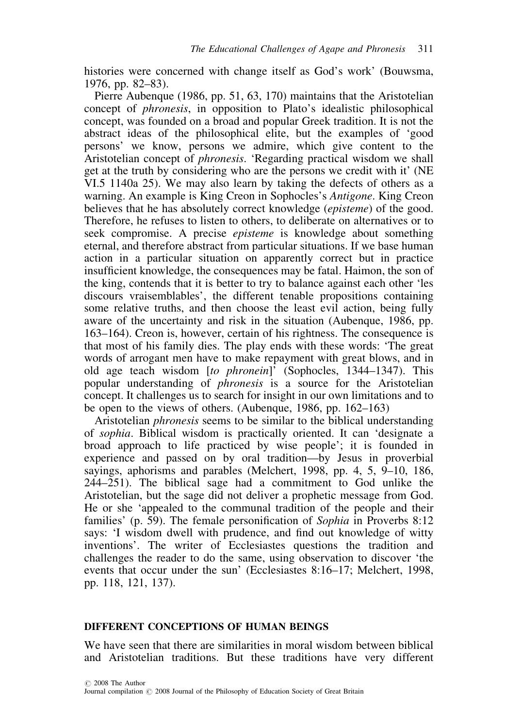histories were concerned with change itself as God's work' (Bouwsma, 1976, pp. 82–83).

Pierre Aubenque (1986, pp. 51, 63, 170) maintains that the Aristotelian concept of phronesis, in opposition to Plato's idealistic philosophical concept, was founded on a broad and popular Greek tradition. It is not the abstract ideas of the philosophical elite, but the examples of 'good persons' we know, persons we admire, which give content to the Aristotelian concept of phronesis. 'Regarding practical wisdom we shall get at the truth by considering who are the persons we credit with it' (NE VI.5 1140a 25). We may also learn by taking the defects of others as a warning. An example is King Creon in Sophocles's Antigone. King Creon believes that he has absolutely correct knowledge *(episteme)* of the good. Therefore, he refuses to listen to others, to deliberate on alternatives or to seek compromise. A precise episteme is knowledge about something eternal, and therefore abstract from particular situations. If we base human action in a particular situation on apparently correct but in practice insufficient knowledge, the consequences may be fatal. Haimon, the son of the king, contends that it is better to try to balance against each other 'les discours vraisemblables', the different tenable propositions containing some relative truths, and then choose the least evil action, being fully aware of the uncertainty and risk in the situation (Aubenque, 1986, pp. 163–164). Creon is, however, certain of his rightness. The consequence is that most of his family dies. The play ends with these words: 'The great words of arrogant men have to make repayment with great blows, and in old age teach wisdom [to phronein]' (Sophocles, 1344–1347). This popular understanding of phronesis is a source for the Aristotelian concept. It challenges us to search for insight in our own limitations and to be open to the views of others. (Aubenque, 1986, pp. 162–163)

Aristotelian phronesis seems to be similar to the biblical understanding of sophia. Biblical wisdom is practically oriented. It can 'designate a broad approach to life practiced by wise people'; it is founded in experience and passed on by oral tradition—by Jesus in proverbial sayings, aphorisms and parables (Melchert, 1998, pp. 4, 5, 9–10, 186, 244–251). The biblical sage had a commitment to God unlike the Aristotelian, but the sage did not deliver a prophetic message from God. He or she 'appealed to the communal tradition of the people and their families' (p. 59). The female personification of Sophia in Proverbs 8:12 says: 'I wisdom dwell with prudence, and find out knowledge of witty inventions'. The writer of Ecclesiastes questions the tradition and challenges the reader to do the same, using observation to discover 'the events that occur under the sun' (Ecclesiastes 8:16–17; Melchert, 1998, pp. 118, 121, 137).

#### DIFFERENT CONCEPTIONS OF HUMAN BEINGS

We have seen that there are similarities in moral wisdom between biblical and Aristotelian traditions. But these traditions have very different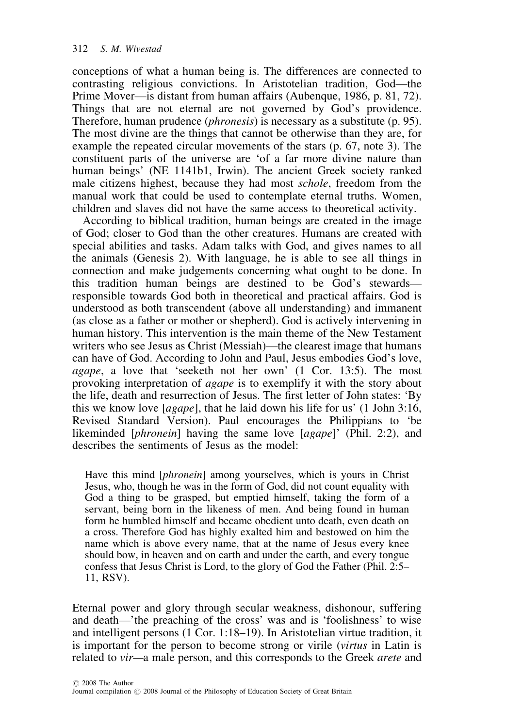conceptions of what a human being is. The differences are connected to contrasting religious convictions. In Aristotelian tradition, God—the Prime Mover—is distant from human affairs (Aubenque, 1986, p. 81, 72). Things that are not eternal are not governed by God's providence. Therefore, human prudence (phronesis) is necessary as a substitute (p. 95). The most divine are the things that cannot be otherwise than they are, for example the repeated circular movements of the stars (p. 67, note 3). The constituent parts of the universe are 'of a far more divine nature than human beings' (NE 1141b1, Irwin). The ancient Greek society ranked male citizens highest, because they had most schole, freedom from the manual work that could be used to contemplate eternal truths. Women, children and slaves did not have the same access to theoretical activity.

According to biblical tradition, human beings are created in the image of God; closer to God than the other creatures. Humans are created with special abilities and tasks. Adam talks with God, and gives names to all the animals (Genesis 2). With language, he is able to see all things in connection and make judgements concerning what ought to be done. In this tradition human beings are destined to be God's stewards responsible towards God both in theoretical and practical affairs. God is understood as both transcendent (above all understanding) and immanent (as close as a father or mother or shepherd). God is actively intervening in human history. This intervention is the main theme of the New Testament writers who see Jesus as Christ (Messiah)—the clearest image that humans can have of God. According to John and Paul, Jesus embodies God's love, agape, a love that 'seeketh not her own' (1 Cor. 13:5). The most provoking interpretation of *agape* is to exemplify it with the story about the life, death and resurrection of Jesus. The first letter of John states: 'By this we know love [agape], that he laid down his life for us' (1 John 3:16, Revised Standard Version). Paul encourages the Philippians to 'be likeminded [phronein] having the same love [agape]' (Phil. 2:2), and describes the sentiments of Jesus as the model:

Have this mind [phronein] among yourselves, which is yours in Christ Jesus, who, though he was in the form of God, did not count equality with God a thing to be grasped, but emptied himself, taking the form of a servant, being born in the likeness of men. And being found in human form he humbled himself and became obedient unto death, even death on a cross. Therefore God has highly exalted him and bestowed on him the name which is above every name, that at the name of Jesus every knee should bow, in heaven and on earth and under the earth, and every tongue confess that Jesus Christ is Lord, to the glory of God the Father (Phil. 2:5– 11, RSV).

Eternal power and glory through secular weakness, dishonour, suffering and death—'the preaching of the cross' was and is 'foolishness' to wise and intelligent persons (1 Cor. 1:18–19). In Aristotelian virtue tradition, it is important for the person to become strong or virile (*virtus* in Latin is related to vir—a male person, and this corresponds to the Greek arete and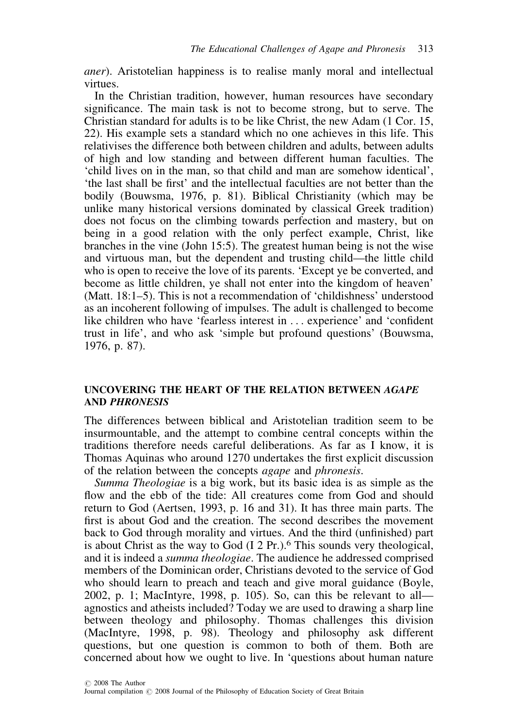aner). Aristotelian happiness is to realise manly moral and intellectual virtues.

In the Christian tradition, however, human resources have secondary significance. The main task is not to become strong, but to serve. The Christian standard for adults is to be like Christ, the new Adam (1 Cor. 15, 22). His example sets a standard which no one achieves in this life. This relativises the difference both between children and adults, between adults of high and low standing and between different human faculties. The 'child lives on in the man, so that child and man are somehow identical', 'the last shall be first' and the intellectual faculties are not better than the bodily (Bouwsma, 1976, p. 81). Biblical Christianity (which may be unlike many historical versions dominated by classical Greek tradition) does not focus on the climbing towards perfection and mastery, but on being in a good relation with the only perfect example, Christ, like branches in the vine (John 15:5). The greatest human being is not the wise and virtuous man, but the dependent and trusting child—the little child who is open to receive the love of its parents. 'Except ye be converted, and become as little children, ye shall not enter into the kingdom of heaven' (Matt. 18:1–5). This is not a recommendation of 'childishness' understood as an incoherent following of impulses. The adult is challenged to become like children who have 'fearless interest in . . . experience' and 'confident trust in life', and who ask 'simple but profound questions' (Bouwsma, 1976, p. 87).

#### UNCOVERING THE HEART OF THE RELATION BETWEEN AGAPE AND PHRONESIS

The differences between biblical and Aristotelian tradition seem to be insurmountable, and the attempt to combine central concepts within the traditions therefore needs careful deliberations. As far as I know, it is Thomas Aquinas who around 1270 undertakes the first explicit discussion of the relation between the concepts agape and phronesis.

Summa Theologiae is a big work, but its basic idea is as simple as the flow and the ebb of the tide: All creatures come from God and should return to God (Aertsen, 1993, p. 16 and 31). It has three main parts. The first is about God and the creation. The second describes the movement back to God through morality and virtues. And the third (unfinished) part is about Christ as the way to God  $(I 2 Pr.)$ <sup>6</sup> This sounds very theological, and it is indeed a summa theologiae. The audience he addressed comprised members of the Dominican order, Christians devoted to the service of God who should learn to preach and teach and give moral guidance (Boyle, 2002, p. 1; MacIntyre, 1998, p. 105). So, can this be relevant to all agnostics and atheists included? Today we are used to drawing a sharp line between theology and philosophy. Thomas challenges this division (MacIntyre, 1998, p. 98). Theology and philosophy ask different questions, but one question is common to both of them. Both are concerned about how we ought to live. In 'questions about human nature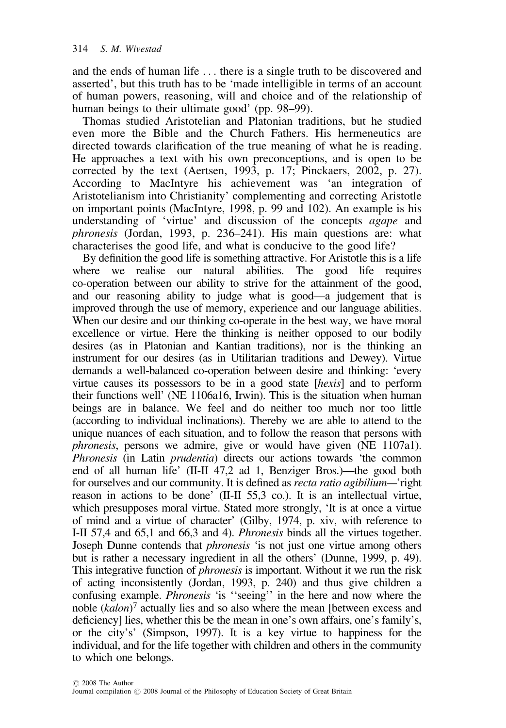and the ends of human life . . . there is a single truth to be discovered and asserted', but this truth has to be 'made intelligible in terms of an account of human powers, reasoning, will and choice and of the relationship of human beings to their ultimate good' (pp. 98–99).

Thomas studied Aristotelian and Platonian traditions, but he studied even more the Bible and the Church Fathers. His hermeneutics are directed towards clarification of the true meaning of what he is reading. He approaches a text with his own preconceptions, and is open to be corrected by the text (Aertsen, 1993, p. 17; Pinckaers, 2002, p. 27). According to MacIntyre his achievement was 'an integration of Aristotelianism into Christianity' complementing and correcting Aristotle on important points (MacIntyre, 1998, p. 99 and 102). An example is his understanding of 'virtue' and discussion of the concepts agape and phronesis (Jordan, 1993, p. 236–241). His main questions are: what characterises the good life, and what is conducive to the good life?

By definition the good life is something attractive. For Aristotle this is a life where we realise our natural abilities. The good life requires co-operation between our ability to strive for the attainment of the good, and our reasoning ability to judge what is good—a judgement that is improved through the use of memory, experience and our language abilities. When our desire and our thinking co-operate in the best way, we have moral excellence or virtue. Here the thinking is neither opposed to our bodily desires (as in Platonian and Kantian traditions), nor is the thinking an instrument for our desires (as in Utilitarian traditions and Dewey). Virtue demands a well-balanced co-operation between desire and thinking: 'every virtue causes its possessors to be in a good state [hexis] and to perform their functions well' (NE 1106a16, Irwin). This is the situation when human beings are in balance. We feel and do neither too much nor too little (according to individual inclinations). Thereby we are able to attend to the unique nuances of each situation, and to follow the reason that persons with phronesis, persons we admire, give or would have given (NE 1107a1). Phronesis (in Latin prudentia) directs our actions towards 'the common end of all human life' (II-II 47,2 ad 1, Benziger Bros.)—the good both for ourselves and our community. It is defined as recta ratio agibilium—'right reason in actions to be done' (II-II 55,3 co.). It is an intellectual virtue, which presupposes moral virtue. Stated more strongly, 'It is at once a virtue of mind and a virtue of character' (Gilby, 1974, p. xiv, with reference to I-II 57,4 and 65,1 and 66,3 and 4). Phronesis binds all the virtues together. Joseph Dunne contends that *phronesis* 'is not just one virtue among others but is rather a necessary ingredient in all the others' (Dunne, 1999, p. 49). This integrative function of *phronesis* is important. Without it we run the risk of acting inconsistently (Jordan, 1993, p. 240) and thus give children a confusing example. Phronesis 'is ''seeing'' in the here and now where the noble  $(kalon)^7$  actually lies and so also where the mean [between excess and deficiency] lies, whether this be the mean in one's own affairs, one's family's, or the city's' (Simpson, 1997). It is a key virtue to happiness for the individual, and for the life together with children and others in the community to which one belongs.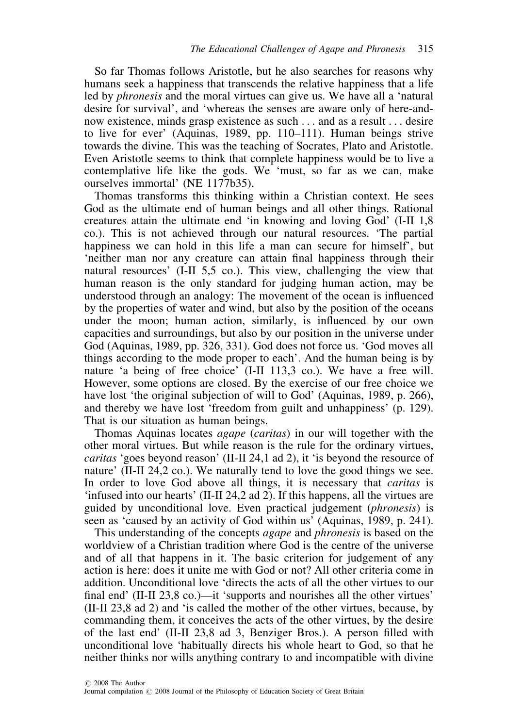So far Thomas follows Aristotle, but he also searches for reasons why humans seek a happiness that transcends the relative happiness that a life led by *phronesis* and the moral virtues can give us. We have all a 'natural desire for survival', and 'whereas the senses are aware only of here-andnow existence, minds grasp existence as such . . . and as a result . . . desire to live for ever' (Aquinas, 1989, pp. 110–111). Human beings strive towards the divine. This was the teaching of Socrates, Plato and Aristotle. Even Aristotle seems to think that complete happiness would be to live a contemplative life like the gods. We 'must, so far as we can, make ourselves immortal' (NE 1177b35).

Thomas transforms this thinking within a Christian context. He sees God as the ultimate end of human beings and all other things. Rational creatures attain the ultimate end 'in knowing and loving God' (I-II 1,8 co.). This is not achieved through our natural resources. 'The partial happiness we can hold in this life a man can secure for himself', but 'neither man nor any creature can attain final happiness through their natural resources' (I-II 5,5 co.). This view, challenging the view that human reason is the only standard for judging human action, may be understood through an analogy: The movement of the ocean is influenced by the properties of water and wind, but also by the position of the oceans under the moon; human action, similarly, is influenced by our own capacities and surroundings, but also by our position in the universe under God (Aquinas, 1989, pp. 326, 331). God does not force us. 'God moves all things according to the mode proper to each'. And the human being is by nature 'a being of free choice' (I-II 113,3 co.). We have a free will. However, some options are closed. By the exercise of our free choice we have lost 'the original subjection of will to God' (Aquinas, 1989, p. 266), and thereby we have lost 'freedom from guilt and unhappiness' (p. 129). That is our situation as human beings.

Thomas Aquinas locates *agape* (*caritas*) in our will together with the other moral virtues. But while reason is the rule for the ordinary virtues, caritas 'goes beyond reason' (II-II 24,1 ad 2), it 'is beyond the resource of nature' (II-II 24,2 co.). We naturally tend to love the good things we see. In order to love God above all things, it is necessary that *caritas* is 'infused into our hearts' (II-II 24,2 ad 2). If this happens, all the virtues are guided by unconditional love. Even practical judgement (phronesis) is seen as 'caused by an activity of God within us' (Aquinas, 1989, p. 241).

This understanding of the concepts *agape* and *phronesis* is based on the worldview of a Christian tradition where God is the centre of the universe and of all that happens in it. The basic criterion for judgement of any action is here: does it unite me with God or not? All other criteria come in addition. Unconditional love 'directs the acts of all the other virtues to our final end' (II-II 23,8 co.)—it 'supports and nourishes all the other virtues' (II-II 23,8 ad 2) and 'is called the mother of the other virtues, because, by commanding them, it conceives the acts of the other virtues, by the desire of the last end' (II-II 23,8 ad 3, Benziger Bros.). A person filled with unconditional love 'habitually directs his whole heart to God, so that he neither thinks nor wills anything contrary to and incompatible with divine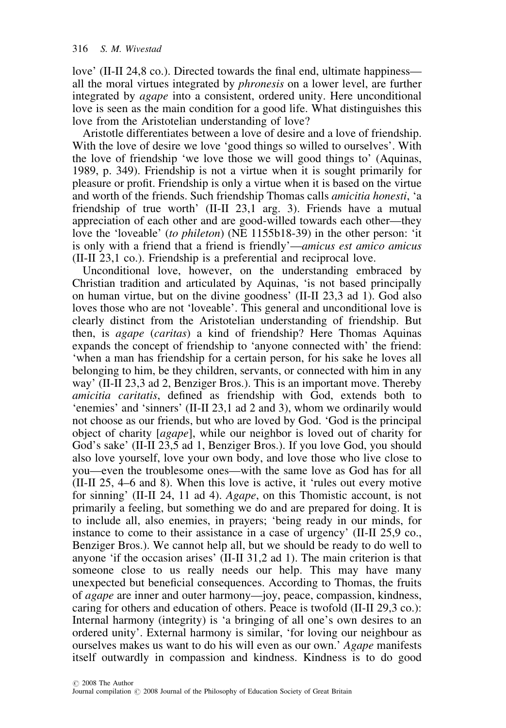love' (II-II 24,8 co.). Directed towards the final end, ultimate happiness all the moral virtues integrated by phronesis on a lower level, are further integrated by agape into a consistent, ordered unity. Here unconditional love is seen as the main condition for a good life. What distinguishes this love from the Aristotelian understanding of love?

Aristotle differentiates between a love of desire and a love of friendship. With the love of desire we love 'good things so willed to ourselves'. With the love of friendship 'we love those we will good things to' (Aquinas, 1989, p. 349). Friendship is not a virtue when it is sought primarily for pleasure or profit. Friendship is only a virtue when it is based on the virtue and worth of the friends. Such friendship Thomas calls amicitia honesti, 'a friendship of true worth'  $(II-II 23,1$  arg. 3). Friends have a mutual appreciation of each other and are good-willed towards each other—they love the 'loveable' *(to phileton)* (NE 1155b18-39) in the other person: 'it is only with a friend that a friend is friendly'—amicus est amico amicus (II-II 23,1 co.). Friendship is a preferential and reciprocal love.

Unconditional love, however, on the understanding embraced by Christian tradition and articulated by Aquinas, 'is not based principally on human virtue, but on the divine goodness' (II-II 23,3 ad 1). God also loves those who are not 'loveable'. This general and unconditional love is clearly distinct from the Aristotelian understanding of friendship. But then, is agape (caritas) a kind of friendship? Here Thomas Aquinas expands the concept of friendship to 'anyone connected with' the friend: 'when a man has friendship for a certain person, for his sake he loves all belonging to him, be they children, servants, or connected with him in any way' (II-II 23,3 ad 2, Benziger Bros.). This is an important move. Thereby amicitia caritatis, defined as friendship with God, extends both to 'enemies' and 'sinners' (II-II 23,1 ad 2 and 3), whom we ordinarily would not choose as our friends, but who are loved by God. 'God is the principal object of charity [agape], while our neighbor is loved out of charity for God's sake' (II-II 23,5 ad 1, Benziger Bros.). If you love God, you should also love yourself, love your own body, and love those who live close to you—even the troublesome ones—with the same love as God has for all (II-II 25, 4–6 and 8). When this love is active, it 'rules out every motive for sinning' (II-II 24, 11 ad 4). Agape, on this Thomistic account, is not primarily a feeling, but something we do and are prepared for doing. It is to include all, also enemies, in prayers; 'being ready in our minds, for instance to come to their assistance in a case of urgency' (II-II 25,9 co., Benziger Bros.). We cannot help all, but we should be ready to do well to anyone 'if the occasion arises' (II-II 31,2 ad 1). The main criterion is that someone close to us really needs our help. This may have many unexpected but beneficial consequences. According to Thomas, the fruits of agape are inner and outer harmony—joy, peace, compassion, kindness, caring for others and education of others. Peace is twofold (II-II 29,3 co.): Internal harmony (integrity) is 'a bringing of all one's own desires to an ordered unity'. External harmony is similar, 'for loving our neighbour as ourselves makes us want to do his will even as our own.' Agape manifests itself outwardly in compassion and kindness. Kindness is to do good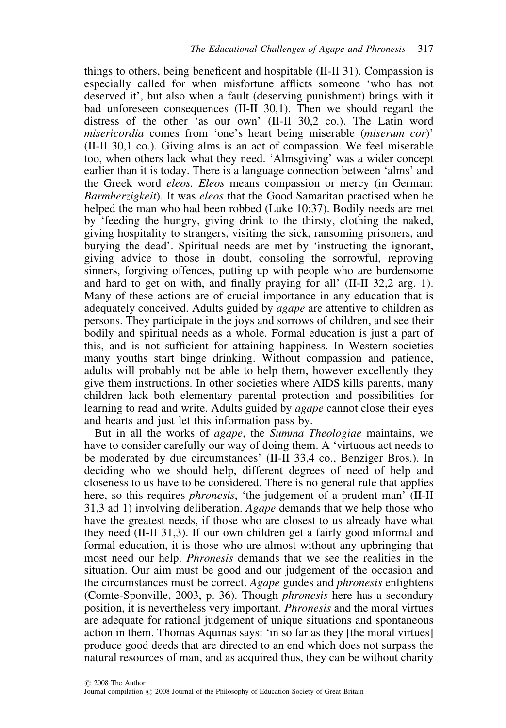things to others, being beneficent and hospitable (II-II 31). Compassion is especially called for when misfortune afflicts someone 'who has not deserved it', but also when a fault (deserving punishment) brings with it bad unforeseen consequences (II-II 30,1). Then we should regard the distress of the other 'as our own' (II-II 30,2 co.). The Latin word misericordia comes from 'one's heart being miserable (miserum cor)' (II-II 30,1 co.). Giving alms is an act of compassion. We feel miserable too, when others lack what they need. 'Almsgiving' was a wider concept earlier than it is today. There is a language connection between 'alms' and the Greek word *eleos. Eleos* means compassion or mercy (in German: Barmherzigkeit). It was eleos that the Good Samaritan practised when he helped the man who had been robbed (Luke 10:37). Bodily needs are met by 'feeding the hungry, giving drink to the thirsty, clothing the naked, giving hospitality to strangers, visiting the sick, ransoming prisoners, and burying the dead'. Spiritual needs are met by 'instructing the ignorant, giving advice to those in doubt, consoling the sorrowful, reproving sinners, forgiving offences, putting up with people who are burdensome and hard to get on with, and finally praying for all' (II-II 32,2 arg. 1). Many of these actions are of crucial importance in any education that is adequately conceived. Adults guided by *agape* are attentive to children as persons. They participate in the joys and sorrows of children, and see their bodily and spiritual needs as a whole. Formal education is just a part of this, and is not sufficient for attaining happiness. In Western societies many youths start binge drinking. Without compassion and patience, adults will probably not be able to help them, however excellently they give them instructions. In other societies where AIDS kills parents, many children lack both elementary parental protection and possibilities for learning to read and write. Adults guided by *agape* cannot close their eyes and hearts and just let this information pass by.

But in all the works of agape, the Summa Theologiae maintains, we have to consider carefully our way of doing them. A 'virtuous act needs to be moderated by due circumstances' (II-II 33,4 co., Benziger Bros.). In deciding who we should help, different degrees of need of help and closeness to us have to be considered. There is no general rule that applies here, so this requires *phronesis*, 'the judgement of a prudent man' (II-II 31,3 ad 1) involving deliberation. Agape demands that we help those who have the greatest needs, if those who are closest to us already have what they need (II-II 31,3). If our own children get a fairly good informal and formal education, it is those who are almost without any upbringing that most need our help. Phronesis demands that we see the realities in the situation. Our aim must be good and our judgement of the occasion and the circumstances must be correct. Agape guides and *phronesis* enlightens (Comte-Sponville, 2003, p. 36). Though phronesis here has a secondary position, it is nevertheless very important. Phronesis and the moral virtues are adequate for rational judgement of unique situations and spontaneous action in them. Thomas Aquinas says: 'in so far as they [the moral virtues] produce good deeds that are directed to an end which does not surpass the natural resources of man, and as acquired thus, they can be without charity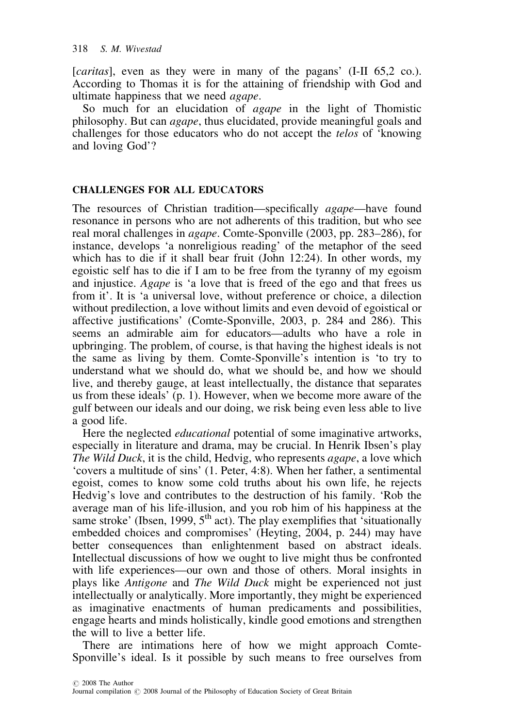[*caritas*], even as they were in many of the pagans' (I-II 65,2 co.). According to Thomas it is for the attaining of friendship with God and ultimate happiness that we need agape.

So much for an elucidation of *agape* in the light of Thomistic philosophy. But can agape, thus elucidated, provide meaningful goals and challenges for those educators who do not accept the telos of 'knowing and loving God'?

# CHALLENGES FOR ALL EDUCATORS

The resources of Christian tradition—specifically agape—have found resonance in persons who are not adherents of this tradition, but who see real moral challenges in agape. Comte-Sponville (2003, pp. 283–286), for instance, develops 'a nonreligious reading' of the metaphor of the seed which has to die if it shall bear fruit (John 12:24). In other words, my egoistic self has to die if I am to be free from the tyranny of my egoism and injustice. Agape is 'a love that is freed of the ego and that frees us from it'. It is 'a universal love, without preference or choice, a dilection without predilection, a love without limits and even devoid of egoistical or affective justifications' (Comte-Sponville, 2003, p. 284 and 286). This seems an admirable aim for educators—adults who have a role in upbringing. The problem, of course, is that having the highest ideals is not the same as living by them. Comte-Sponville's intention is 'to try to understand what we should do, what we should be, and how we should live, and thereby gauge, at least intellectually, the distance that separates us from these ideals' (p. 1). However, when we become more aware of the gulf between our ideals and our doing, we risk being even less able to live a good life.

Here the neglected educational potential of some imaginative artworks, especially in literature and drama, may be crucial. In Henrik Ibsen's play The Wild Duck, it is the child, Hedvig, who represents *agape*, a love which 'covers a multitude of sins' (1. Peter, 4:8). When her father, a sentimental egoist, comes to know some cold truths about his own life, he rejects Hedvig's love and contributes to the destruction of his family. 'Rob the average man of his life-illusion, and you rob him of his happiness at the same stroke' (Ibsen, 1999,  $5<sup>th</sup>$  act). The play exemplifies that 'situationally embedded choices and compromises' (Heyting, 2004, p. 244) may have better consequences than enlightenment based on abstract ideals. Intellectual discussions of how we ought to live might thus be confronted with life experiences—our own and those of others. Moral insights in plays like Antigone and The Wild Duck might be experienced not just intellectually or analytically. More importantly, they might be experienced as imaginative enactments of human predicaments and possibilities, engage hearts and minds holistically, kindle good emotions and strengthen the will to live a better life.

There are intimations here of how we might approach Comte-Sponville's ideal. Is it possible by such means to free ourselves from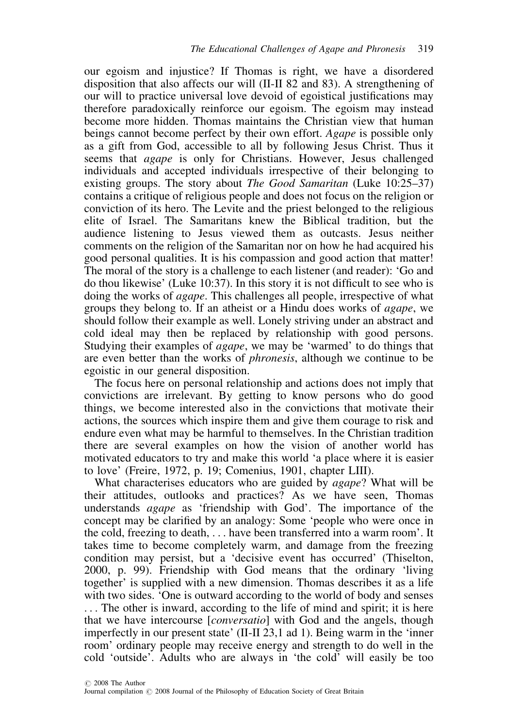our egoism and injustice? If Thomas is right, we have a disordered disposition that also affects our will (II-II 82 and 83). A strengthening of our will to practice universal love devoid of egoistical justifications may therefore paradoxically reinforce our egoism. The egoism may instead become more hidden. Thomas maintains the Christian view that human beings cannot become perfect by their own effort. Agape is possible only as a gift from God, accessible to all by following Jesus Christ. Thus it seems that *agape* is only for Christians. However, Jesus challenged individuals and accepted individuals irrespective of their belonging to existing groups. The story about *The Good Samaritan* (Luke 10:25–37) contains a critique of religious people and does not focus on the religion or conviction of its hero. The Levite and the priest belonged to the religious elite of Israel. The Samaritans knew the Biblical tradition, but the audience listening to Jesus viewed them as outcasts. Jesus neither comments on the religion of the Samaritan nor on how he had acquired his good personal qualities. It is his compassion and good action that matter! The moral of the story is a challenge to each listener (and reader): 'Go and do thou likewise' (Luke 10:37). In this story it is not difficult to see who is doing the works of *agape*. This challenges all people, irrespective of what groups they belong to. If an atheist or a Hindu does works of agape, we should follow their example as well. Lonely striving under an abstract and cold ideal may then be replaced by relationship with good persons. Studying their examples of *agape*, we may be 'warmed' to do things that are even better than the works of phronesis, although we continue to be egoistic in our general disposition.

The focus here on personal relationship and actions does not imply that convictions are irrelevant. By getting to know persons who do good things, we become interested also in the convictions that motivate their actions, the sources which inspire them and give them courage to risk and endure even what may be harmful to themselves. In the Christian tradition there are several examples on how the vision of another world has motivated educators to try and make this world 'a place where it is easier to love' (Freire, 1972, p. 19; Comenius, 1901, chapter LIII).

What characterises educators who are guided by *agape*? What will be their attitudes, outlooks and practices? As we have seen, Thomas understands agape as 'friendship with God'. The importance of the concept may be clarified by an analogy: Some 'people who were once in the cold, freezing to death, . . . have been transferred into a warm room'. It takes time to become completely warm, and damage from the freezing condition may persist, but a 'decisive event has occurred' (Thiselton, 2000, p. 99). Friendship with God means that the ordinary 'living together' is supplied with a new dimension. Thomas describes it as a life with two sides. 'One is outward according to the world of body and senses ... The other is inward, according to the life of mind and spirit; it is here that we have intercourse [conversatio] with God and the angels, though imperfectly in our present state' (II-II 23,1 ad 1). Being warm in the 'inner room' ordinary people may receive energy and strength to do well in the cold 'outside'. Adults who are always in 'the cold' will easily be too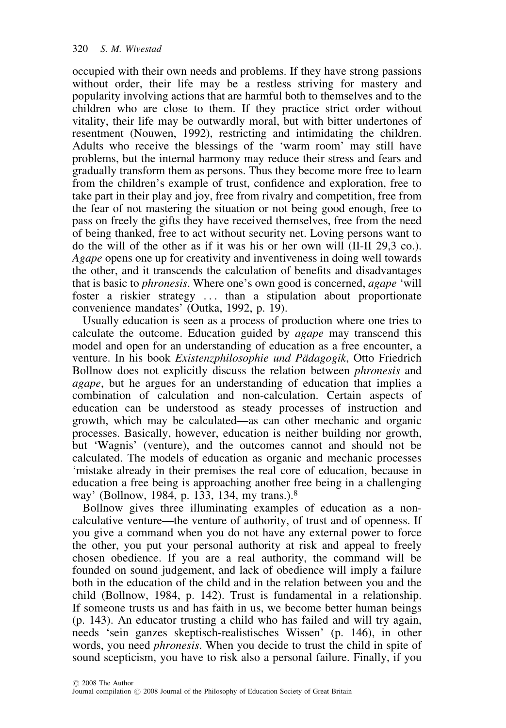occupied with their own needs and problems. If they have strong passions without order, their life may be a restless striving for mastery and popularity involving actions that are harmful both to themselves and to the children who are close to them. If they practice strict order without vitality, their life may be outwardly moral, but with bitter undertones of resentment (Nouwen, 1992), restricting and intimidating the children. Adults who receive the blessings of the 'warm room' may still have problems, but the internal harmony may reduce their stress and fears and gradually transform them as persons. Thus they become more free to learn from the children's example of trust, confidence and exploration, free to take part in their play and joy, free from rivalry and competition, free from the fear of not mastering the situation or not being good enough, free to pass on freely the gifts they have received themselves, free from the need of being thanked, free to act without security net. Loving persons want to do the will of the other as if it was his or her own will (II-II 29,3 co.). Agape opens one up for creativity and inventiveness in doing well towards the other, and it transcends the calculation of benefits and disadvantages that is basic to *phronesis*. Where one's own good is concerned, *agape* 'will foster a riskier strategy . . . than a stipulation about proportionate convenience mandates' (Outka, 1992, p. 19).

Usually education is seen as a process of production where one tries to calculate the outcome. Education guided by agape may transcend this model and open for an understanding of education as a free encounter, a venture. In his book *Existenzphilosophie und Pädagogik*, Otto Friedrich Bollnow does not explicitly discuss the relation between phronesis and agape, but he argues for an understanding of education that implies a combination of calculation and non-calculation. Certain aspects of education can be understood as steady processes of instruction and growth, which may be calculated—as can other mechanic and organic processes. Basically, however, education is neither building nor growth, but 'Wagnis' (venture), and the outcomes cannot and should not be calculated. The models of education as organic and mechanic processes 'mistake already in their premises the real core of education, because in education a free being is approaching another free being in a challenging way' (Bollnow, 1984, p. 133, 134, my trans.).<sup>8</sup>

Bollnow gives three illuminating examples of education as a noncalculative venture—the venture of authority, of trust and of openness. If you give a command when you do not have any external power to force the other, you put your personal authority at risk and appeal to freely chosen obedience. If you are a real authority, the command will be founded on sound judgement, and lack of obedience will imply a failure both in the education of the child and in the relation between you and the child (Bollnow, 1984, p. 142). Trust is fundamental in a relationship. If someone trusts us and has faith in us, we become better human beings (p. 143). An educator trusting a child who has failed and will try again, needs 'sein ganzes skeptisch-realistisches Wissen' (p. 146), in other words, you need phronesis. When you decide to trust the child in spite of sound scepticism, you have to risk also a personal failure. Finally, if you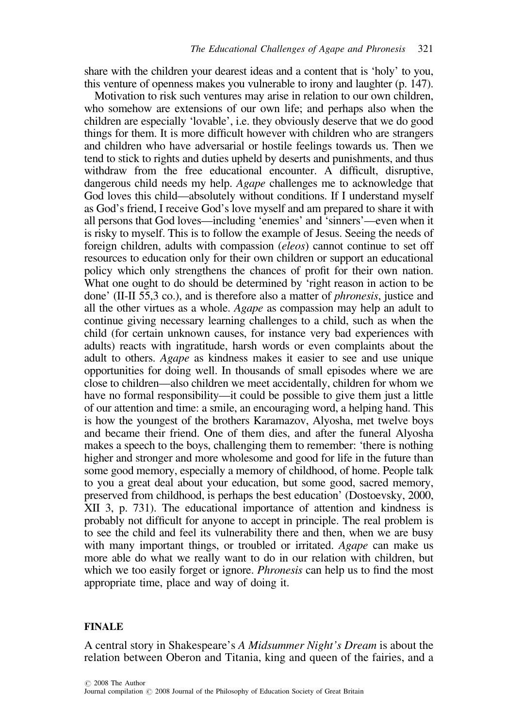share with the children your dearest ideas and a content that is 'holy' to you, this venture of openness makes you vulnerable to irony and laughter (p. 147).

Motivation to risk such ventures may arise in relation to our own children, who somehow are extensions of our own life; and perhaps also when the children are especially 'lovable', i.e. they obviously deserve that we do good things for them. It is more difficult however with children who are strangers and children who have adversarial or hostile feelings towards us. Then we tend to stick to rights and duties upheld by deserts and punishments, and thus withdraw from the free educational encounter. A difficult, disruptive, dangerous child needs my help. Agape challenges me to acknowledge that God loves this child—absolutely without conditions. If I understand myself as God's friend, I receive God's love myself and am prepared to share it with all persons that God loves—including 'enemies' and 'sinners'—even when it is risky to myself. This is to follow the example of Jesus. Seeing the needs of foreign children, adults with compassion (eleos) cannot continue to set off resources to education only for their own children or support an educational policy which only strengthens the chances of profit for their own nation. What one ought to do should be determined by 'right reason in action to be done' (II-II 55,3 co.), and is therefore also a matter of phronesis, justice and all the other virtues as a whole. Agape as compassion may help an adult to continue giving necessary learning challenges to a child, such as when the child (for certain unknown causes, for instance very bad experiences with adults) reacts with ingratitude, harsh words or even complaints about the adult to others. Agape as kindness makes it easier to see and use unique opportunities for doing well. In thousands of small episodes where we are close to children—also children we meet accidentally, children for whom we have no formal responsibility—it could be possible to give them just a little of our attention and time: a smile, an encouraging word, a helping hand. This is how the youngest of the brothers Karamazov, Alyosha, met twelve boys and became their friend. One of them dies, and after the funeral Alyosha makes a speech to the boys, challenging them to remember: 'there is nothing higher and stronger and more wholesome and good for life in the future than some good memory, especially a memory of childhood, of home. People talk to you a great deal about your education, but some good, sacred memory, preserved from childhood, is perhaps the best education' (Dostoevsky, 2000, XII 3, p. 731). The educational importance of attention and kindness is probably not difficult for anyone to accept in principle. The real problem is to see the child and feel its vulnerability there and then, when we are busy with many important things, or troubled or irritated. Agape can make us more able do what we really want to do in our relation with children, but which we too easily forget or ignore. *Phronesis* can help us to find the most appropriate time, place and way of doing it.

#### FINALE

A central story in Shakespeare's A Midsummer Night's Dream is about the relation between Oberon and Titania, king and queen of the fairies, and a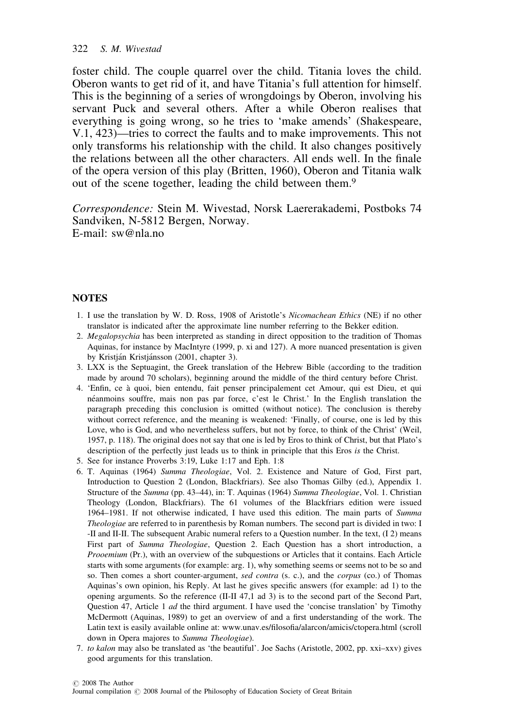foster child. The couple quarrel over the child. Titania loves the child. Oberon wants to get rid of it, and have Titania's full attention for himself. This is the beginning of a series of wrongdoings by Oberon, involving his servant Puck and several others. After a while Oberon realises that everything is going wrong, so he tries to 'make amends' (Shakespeare, V.1, 423)—tries to correct the faults and to make improvements. This not only transforms his relationship with the child. It also changes positively the relations between all the other characters. All ends well. In the finale of the opera version of this play (Britten, 1960), Oberon and Titania walk out of the scene together, leading the child between them.9

Correspondence: Stein M. Wivestad, Norsk Laererakademi, Postboks 74 Sandviken, N-5812 Bergen, Norway. E-mail: sw@nla.no

#### **NOTES**

- 1. I use the translation by W. D. Ross, 1908 of Aristotle's Nicomachean Ethics (NE) if no other translator is indicated after the approximate line number referring to the Bekker edition.
- 2. Megalopsychia has been interpreted as standing in direct opposition to the tradition of Thomas Aquinas, for instance by MacIntyre (1999, p. xi and 127). A more nuanced presentation is given by Kristján Kristjánsson (2001, chapter 3).
- 3. LXX is the Septuagint, the Greek translation of the Hebrew Bible (according to the tradition made by around 70 scholars), beginning around the middle of the third century before Christ.
- 4. 'Enfin, ce a` quoi, bien entendu, fait penser principalement cet Amour, qui est Dieu, et qui néanmoins souffre, mais non pas par force, c'est le Christ.' In the English translation the paragraph preceding this conclusion is omitted (without notice). The conclusion is thereby without correct reference, and the meaning is weakened: 'Finally, of course, one is led by this Love, who is God, and who nevertheless suffers, but not by force, to think of the Christ' (Weil, 1957, p. 118). The original does not say that one is led by Eros to think of Christ, but that Plato's description of the perfectly just leads us to think in principle that this Eros is the Christ.
- 5. See for instance Proverbs 3:19, Luke 1:17 and Eph. 1:8
- 6. T. Aquinas (1964) Summa Theologiae, Vol. 2. Existence and Nature of God, First part, Introduction to Question 2 (London, Blackfriars). See also Thomas Gilby (ed.), Appendix 1. Structure of the Summa (pp. 43–44), in: T. Aquinas (1964) Summa Theologiae, Vol. 1. Christian Theology (London, Blackfriars). The 61 volumes of the Blackfriars edition were issued 1964–1981. If not otherwise indicated, I have used this edition. The main parts of Summa Theologiae are referred to in parenthesis by Roman numbers. The second part is divided in two: I -II and II-II. The subsequent Arabic numeral refers to a Question number. In the text, (I 2) means First part of Summa Theologiae, Question 2. Each Question has a short introduction, a Prooemium (Pr.), with an overview of the subquestions or Articles that it contains. Each Article starts with some arguments (for example: arg. 1), why something seems or seems not to be so and so. Then comes a short counter-argument, sed contra (s. c.), and the corpus (co.) of Thomas Aquinas's own opinion, his Reply. At last he gives specific answers (for example: ad 1) to the opening arguments. So the reference (II-II 47,1 ad 3) is to the second part of the Second Part, Question 47, Article 1 *ad* the third argument. I have used the 'concise translation' by Timothy McDermott (Aquinas, 1989) to get an overview of and a first understanding of the work. The Latin text is easily available online at: www.unav.es/filosofia/alarcon/amicis/ctopera.html (scroll down in Opera majores to Summa Theologiae).
- 7. to kalon may also be translated as 'the beautiful'. Joe Sachs (Aristotle, 2002, pp. xxi–xxv) gives good arguments for this translation.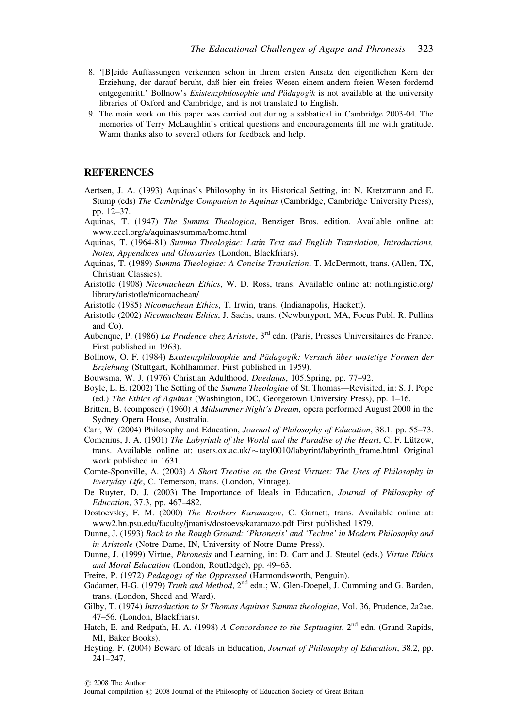- 8. '[B]eide Auffassungen verkennen schon in ihrem ersten Ansatz den eigentlichen Kern der Erziehung, der darauf beruht, daß hier ein freies Wesen einem andern freien Wesen fordernd entgegentritt.' Bollnow's *Existenzphilosophie und Pädagogik* is not available at the university libraries of Oxford and Cambridge, and is not translated to English.
- 9. The main work on this paper was carried out during a sabbatical in Cambridge 2003-04. The memories of Terry McLaughlin's critical questions and encouragements fill me with gratitude. Warm thanks also to several others for feedback and help.

#### **REFERENCES**

- Aertsen, J. A. (1993) Aquinas's Philosophy in its Historical Setting, in: N. Kretzmann and E. Stump (eds) The Cambridge Companion to Aquinas (Cambridge, Cambridge University Press), pp. 12–37.
- Aquinas, T. (1947) The Summa Theologica, Benziger Bros. edition. Available online at: www.ccel.org/a/aquinas/summa/home.html
- Aquinas, T. (1964-81) Summa Theologiae: Latin Text and English Translation, Introductions, Notes, Appendices and Glossaries (London, Blackfriars).
- Aquinas, T. (1989) Summa Theologiae: A Concise Translation, T. McDermott, trans. (Allen, TX, Christian Classics).
- Aristotle (1908) Nicomachean Ethics, W. D. Ross, trans. Available online at: nothingistic.org/ library/aristotle/nicomachean/
- Aristotle (1985) Nicomachean Ethics, T. Irwin, trans. (Indianapolis, Hackett).
- Aristotle (2002) Nicomachean Ethics, J. Sachs, trans. (Newburyport, MA, Focus Publ. R. Pullins and Co).
- Aubenque, P. (1986) La Prudence chez Aristote, 3<sup>rd</sup> edn. (Paris, Presses Universitaires de France. First published in 1963).
- Bollnow, O. F. (1984) Existenzphilosophie und Pädagogik: Versuch über unstetige Formen der Erziehung (Stuttgart, Kohlhammer. First published in 1959).
- Bouwsma, W. J. (1976) Christian Adulthood, Daedalus, 105.Spring, pp. 77–92.
- Boyle, L. E. (2002) The Setting of the Summa Theologiae of St. Thomas—Revisited, in: S. J. Pope (ed.) The Ethics of Aquinas (Washington, DC, Georgetown University Press), pp. 1–16.
- Britten, B. (composer) (1960) A Midsummer Night's Dream, opera performed August 2000 in the Sydney Opera House, Australia.
- Carr, W. (2004) Philosophy and Education, Journal of Philosophy of Education, 38.1, pp. 55–73.
- Comenius, J. A. (1901) The Labyrinth of the World and the Paradise of the Heart, C. F. Lützow, trans. Available online at: users.ox.ac.uk/ $\sim$ tayl0010/labyrint/labyrinth\_frame.html Original work published in 1631.
- Comte-Sponville, A. (2003) A Short Treatise on the Great Virtues: The Uses of Philosophy in Everyday Life, C. Temerson, trans. (London, Vintage).
- De Ruyter, D. J. (2003) The Importance of Ideals in Education, *Journal of Philosophy of* Education, 37.3, pp. 467–482.
- Dostoevsky, F. M. (2000) The Brothers Karamazov, C. Garnett, trans. Available online at: www2.hn.psu.edu/faculty/jmanis/dostoevs/karamazo.pdf First published 1879.
- Dunne, J. (1993) Back to the Rough Ground: 'Phronesis' and 'Techne' in Modern Philosophy and in Aristotle (Notre Dame, IN, University of Notre Dame Press).
- Dunne, J. (1999) Virtue, Phronesis and Learning, in: D. Carr and J. Steutel (eds.) Virtue Ethics and Moral Education (London, Routledge), pp. 49–63.

Freire, P. (1972) Pedagogy of the Oppressed (Harmondsworth, Penguin).

- Gadamer, H-G. (1979) Truth and Method, 2<sup>nd</sup> edn.; W. Glen-Doepel, J. Cumming and G. Barden, trans. (London, Sheed and Ward).
- Gilby, T. (1974) Introduction to St Thomas Aquinas Summa theologiae, Vol. 36, Prudence, 2a2ae. 47–56. (London, Blackfriars).
- Hatch, E. and Redpath, H. A. (1998) A Concordance to the Septuagint,  $2<sup>nd</sup>$  edn. (Grand Rapids, MI, Baker Books).
- Heyting, F. (2004) Beware of Ideals in Education, *Journal of Philosophy of Education*, 38.2, pp. 241–247.

 $\odot$  2008 The Author